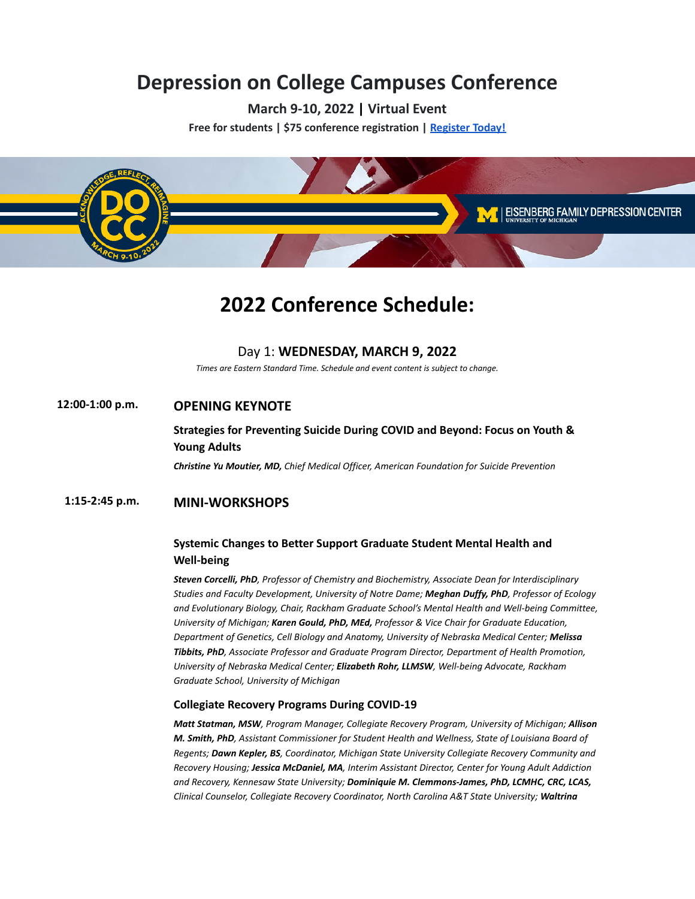# **Depression on College Campuses [Conference](https://members.depressioncenter.org/docc/)**

**March 9-10, 2022 | Virtual Event**

**Free for students | \$75 conference registration | [Register Today!](https://members.depressioncenter.org/docc/)**



# **2022 Conference Schedule:**

## Day 1: **WEDNESDAY, MARCH 9, 2022**

*Times are Eastern Standard Time. Schedule and event content is subject to change.*

# **12:00-1:00 p.m. OPENING KEYNOTE**

# **Strategies for Preventing Suicide During COVID and Beyond: Focus on Youth & Young Adults**

*Christine Yu Moutier, MD, Chief Medical Officer, American Foundation for Suicide Prevention*

## **1:15-2:45 p.m. MINI-WORKSHOPS**

# **Systemic Changes to Better Support Graduate Student Mental Health and Well-being**

*Steven Corcelli, PhD, Professor of Chemistry and Biochemistry, Associate Dean for Interdisciplinary Studies and Faculty Development, University of Notre Dame; Meghan Duffy, PhD, Professor of Ecology and Evolutionary Biology, Chair, Rackham Graduate School's Mental Health and Well-being Committee, University of Michigan; Karen Gould, PhD, MEd, Professor & Vice Chair for Graduate Education, Department of Genetics, Cell Biology and Anatomy, University of Nebraska Medical Center; Melissa Tibbits, PhD, Associate Professor and Graduate Program Director, Department of Health Promotion, University of Nebraska Medical Center; Elizabeth Rohr, LLMSW, Well-being Advocate, Rackham Graduate School, University of Michigan*

### **Collegiate Recovery Programs During COVID-19**

*Matt Statman, MSW, Program Manager, Collegiate Recovery Program, University of Michigan; Allison M. Smith, PhD, Assistant Commissioner for Student Health and Wellness, State of Louisiana Board of Regents; Dawn Kepler, BS, Coordinator, Michigan State University Collegiate Recovery Community and Recovery Housing; Jessica McDaniel, MA, Interim Assistant Director, Center for Young Adult Addiction and Recovery, Kennesaw State University; Dominiquie M. Clemmons-James, PhD, LCMHC, CRC, LCAS, Clinical Counselor, Collegiate Recovery Coordinator, North Carolina A&T State University; Waltrina*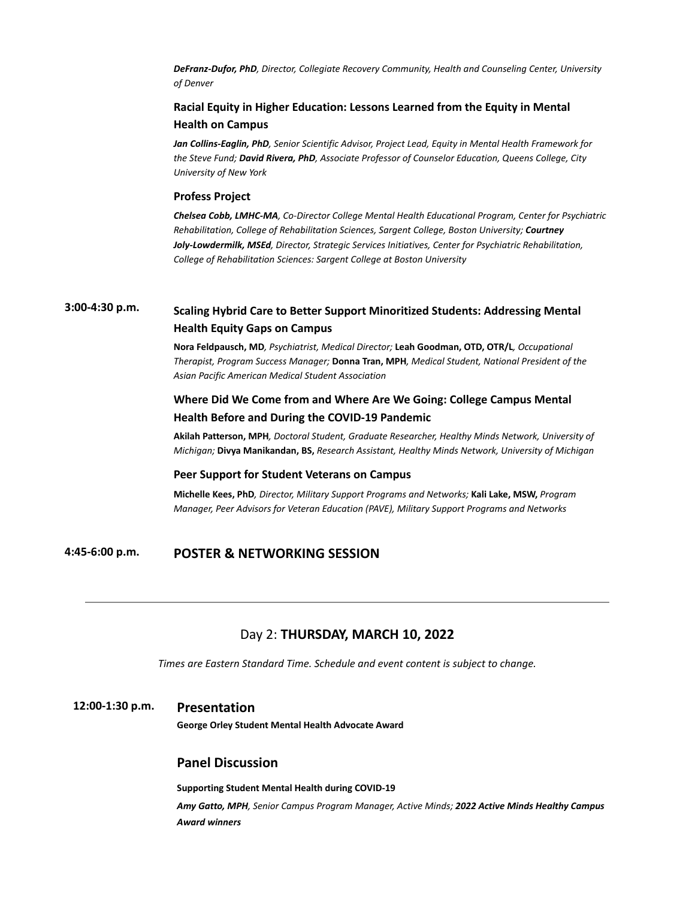*DeFranz-Dufor, PhD, Director, Collegiate Recovery Community, Health and Counseling Center, University of Denver*

# **Racial Equity in Higher Education: Lessons Learned from the Equity in Mental Health on Campus**

*Jan Collins-Eaglin, PhD, Senior Scientific Advisor, Project Lead, Equity in Mental Health Framework for the Steve Fund; David Rivera, PhD, Associate Professor of Counselor Education, Queens College, City University of New York*

#### **Profess Project**

*Chelsea Cobb, LMHC-MA, Co-Director College Mental Health Educational Program, Center for Psychiatric Rehabilitation, College of Rehabilitation Sciences, Sargent College, Boston University; Courtney Joly-Lowdermilk, MSEd, Director, Strategic Services Initiatives, Center for Psychiatric Rehabilitation, College of Rehabilitation Sciences: Sargent College at Boston University*

# **3:00-4:30 p.m. Scaling Hybrid Care to Better Support Minoritized Students: Addressing Mental Health Equity Gaps on Campus**

**Nora Feldpausch, MD***, Psychiatrist, Medical Director;* **Leah Goodman, OTD, OTR/L***, Occupational Therapist, Program Success Manager;* **Donna Tran, MPH***, Medical Student, National President of the Asian Pacific American Medical Student Association*

# **Where Did We Come from and Where Are We Going: College Campus Mental Health Before and During the COVID-19 Pandemic**

**Akilah Patterson, MPH***, Doctoral Student, Graduate Researcher, Healthy Minds Network, University of Michigan;* **Divya Manikandan, BS,** *Research Assistant, Healthy Minds Network, University of Michigan*

#### **Peer Support for Student Veterans on Campus**

**Michelle Kees, PhD***, Director, Military Support Programs and Networks;* **Kali Lake, MSW,** *Program Manager, Peer Advisors for Veteran Education (PAVE), Military Support Programs and Networks*

# **4:45-6:00 p.m. POSTER & NETWORKING SESSION**

## Day 2: **THURSDAY, MARCH 10, 2022**

*Times are Eastern Standard Time. Schedule and event content is subject to change.*

### **12:00-1:30 p.m. Presentation**

**George Orley Student Mental Health Advocate Award**

## **Panel Discussion**

**Supporting Student Mental Health during COVID-19**

*Amy Gatto, MPH, Senior Campus Program Manager, Active Minds; 2022 Active Minds Healthy Campus Award winners*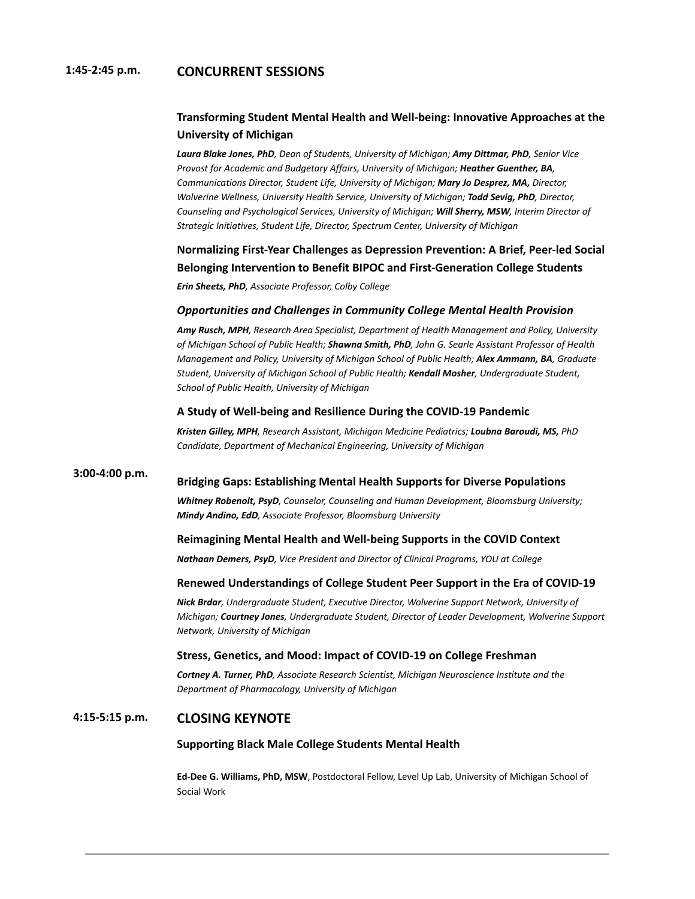## **1:45-2:45 p.m. CONCURRENT SESSIONS**

# **Transforming Student Mental Health and Well-being: Innovative Approaches at the University of Michigan**

*Laura Blake Jones, PhD, Dean of Students, University of Michigan; Amy Dittmar, PhD, Senior Vice Provost for Academic and Budgetary Affairs, University of Michigan; Heather Guenther, BA, Communications Director, Student Life, University of Michigan; Mary Jo Desprez, MA, Director, Wolverine Wellness, University Health Service, University of Michigan; Todd Sevig, PhD, Director, Counseling and Psychological Services, University of Michigan; Will Sherry, MSW, Interim Director of Strategic Initiatives, Student Life, Director, Spectrum Center, University of Michigan*

# **Normalizing First-Year Challenges as Depression Prevention: A Brief, Peer-led Social Belonging Intervention to Benefit BIPOC and First-Generation College Students**

*Erin Sheets, PhD, Associate Professor, Colby College*

## *Opportunities and Challenges in Community College Mental Health Provision*

*Amy Rusch, MPH, Research Area Specialist, Department of Health Management and Policy, University of Michigan School of Public Health; Shawna Smith, PhD, John G. Searle Assistant Professor of Health Management and Policy, University of Michigan School of Public Health; Alex Ammann, BA, Graduate Student, University of Michigan School of Public Health; Kendall Mosher, Undergraduate Student, School of Public Health, University of Michigan*

## **A Study of Well-being and Resilience During the COVID-19 Pandemic**

*Kristen Gilley, MPH, Research Assistant, Michigan Medicine Pediatrics; Loubna Baroudi, MS, PhD Candidate, Department of Mechanical Engineering, University of Michigan*

#### **3:00-4:00 p.m. Bridging Gaps: Establishing Mental Health Supports for Diverse Populations**

*Whitney Robenolt, PsyD, Counselor, Counseling and Human Development, Bloomsburg University; Mindy Andino, EdD, Associate Professor, Bloomsburg University*

#### **Reimagining Mental Health and Well-being Supports in the COVID Context**

*Nathaan Demers, PsyD, Vice President and Director of Clinical Programs, YOU at College*

### **Renewed Understandings of College Student Peer Support in the Era of COVID-19**

*Nick Brdar, Undergraduate Student, Executive Director, Wolverine Support Network, University of Michigan; Courtney Jones, Undergraduate Student, Director of Leader Development, Wolverine Support Network, University of Michigan*

#### **Stress, Genetics, and Mood: Impact of COVID-19 on College Freshman**

*Cortney A. Turner, PhD, Associate Research Scientist, Michigan Neuroscience Institute and the Department of Pharmacology, University of Michigan*

# **4:15-5:15 p.m. CLOSING KEYNOTE**

#### **Supporting Black Male College Students Mental Health**

**Ed-Dee G. Williams, PhD, MSW**, Postdoctoral Fellow, Level Up Lab, University of Michigan School of Social Work